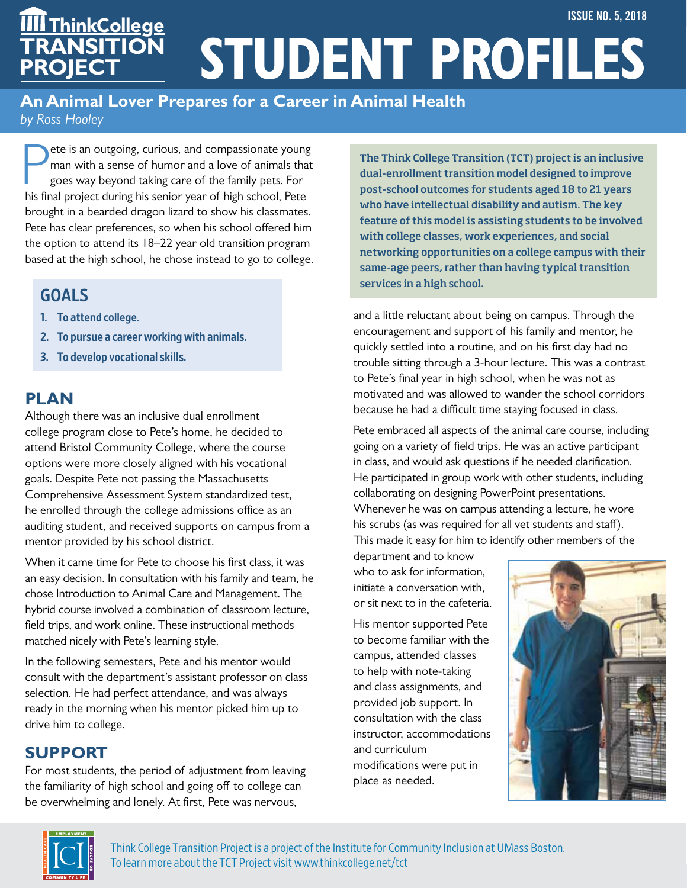#### **An Animal Lover Prepares for a Career in Animal Health** *by Ross Hooley*

**Philippe Equipment Controls Compassions the senior serves in the sense of humor and a love of animals that goes way beyond taking care of the family pets. For his final project during his senior year of high school, Pete** ete is an outgoing, curious, and compassionate young man with a sense of humor and a love of animals that goes way beyond taking care of the family pets. For brought in a bearded dragon lizard to show his classmates. Pete has clear preferences, so when his school offered him the option to attend its 18–22 year old transition program based at the high school, he chose instead to go to college.

## GOALS

- 1. To attend college.
- 2. To pursue a career working with animals.
- 3. To develop vocational skills.

# **PLAN**

Although there was an inclusive dual enrollment college program close to Pete's home, he decided to attend Bristol Community College, where the course options were more closely aligned with his vocational goals. Despite Pete not passing the Massachusetts Comprehensive Assessment System standardized test, he enrolled through the college admissions office as an auditing student, and received supports on campus from a mentor provided by his school district.

When it came time for Pete to choose his first class, it was an easy decision. In consultation with his family and team, he chose Introduction to Animal Care and Management. The hybrid course involved a combination of classroom lecture, field trips, and work online. These instructional methods matched nicely with Pete's learning style.

In the following semesters, Pete and his mentor would consult with the department's assistant professor on class selection. He had perfect attendance, and was always ready in the morning when his mentor picked him up to drive him to college.

# **SUPPORT**

For most students, the period of adjustment from leaving the familiarity of high school and going off to college can be overwhelming and lonely. At first, Pete was nervous,

The Think College Transition (TCT) project is an inclusive dual-enrollment transition model designed to improve post-school outcomes for students aged 18 to 21 years who have intellectual disability and autism. The key feature of this model is assisting students to be involved with college classes, work experiences, and social networking opportunities on a college campus with their same-age peers, rather than having typical transition services in a high school.

and a little reluctant about being on campus. Through the encouragement and support of his family and mentor, he quickly settled into a routine, and on his first day had no trouble sitting through a 3-hour lecture. This was a contrast to Pete's final year in high school, when he was not as motivated and was allowed to wander the school corridors because he had a difficult time staying focused in class.

Pete embraced all aspects of the animal care course, including going on a variety of field trips. He was an active participant in class, and would ask questions if he needed clarification. He participated in group work with other students, including collaborating on designing PowerPoint presentations. Whenever he was on campus attending a lecture, he wore his scrubs (as was required for all vet students and staff). This made it easy for him to identify other members of the

department and to know who to ask for information, initiate a conversation with, or sit next to in the cafeteria.

His mentor supported Pete to become familiar with the campus, attended classes to help with note-taking and class assignments, and provided job support. In consultation with the class instructor, accommodations and curriculum modifications were put in place as needed.